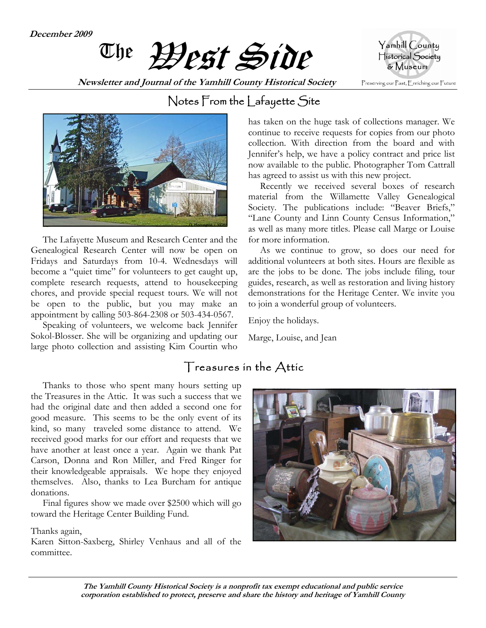**December 2009** 



**Newsletter and Journal of the Yamhill County Historical Society** 





 The Lafayette Museum and Research Center and the Genealogical Research Center will now be open on Fridays and Saturdays from 10-4. Wednesdays will become a "quiet time" for volunteers to get caught up, complete research requests, attend to housekeeping chores, and provide special request tours. We will not be open to the public, but you may make an appointment by calling 503-864-2308 or 503-434-0567.

 Speaking of volunteers, we welcome back Jennifer Sokol-Blosser. She will be organizing and updating our large photo collection and assisting Kim Courtin who

### Notes From the Lafayette Site

has taken on the huge task of collections manager. We continue to receive requests for copies from our photo collection. With direction from the board and with Jennifer's help, we have a policy contract and price list now available to the public. Photographer Tom Cattrall has agreed to assist us with this new project.

 Recently we received several boxes of research material from the Willamette Valley Genealogical Society. The publications include: "Beaver Briefs," "Lane County and Linn County Census Information," as well as many more titles. Please call Marge or Louise for more information.

 As we continue to grow, so does our need for additional volunteers at both sites. Hours are flexible as are the jobs to be done. The jobs include filing, tour guides, research, as well as restoration and living history demonstrations for the Heritage Center. We invite you to join a wonderful group of volunteers.

Enjoy the holidays.

Marge, Louise, and Jean

### Treasures in the Attic

 Thanks to those who spent many hours setting up the Treasures in the Attic. It was such a success that we had the original date and then added a second one for good measure. This seems to be the only event of its kind, so many traveled some distance to attend. We received good marks for our effort and requests that we have another at least once a year. Again we thank Pat Carson, Donna and Ron Miller, and Fred Ringer for their knowledgeable appraisals. We hope they enjoyed themselves. Also, thanks to Lea Burcham for antique donations.

 Final figures show we made over \$2500 which will go toward the Heritage Center Building Fund.

Thanks again,

Karen Sitton-Saxberg, Shirley Venhaus and all of the committee.

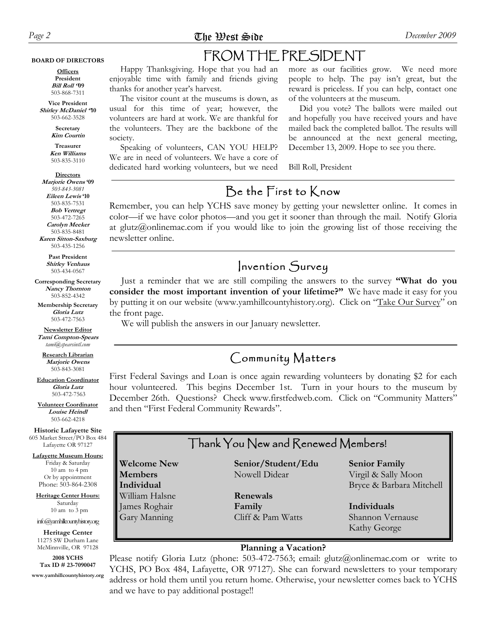#### **BOARD OF DIRECTORS**

**Officers President Bill Roll ''09**  503-868-7311

**Vice President Shirley McDaniel ''10**  503-662-3528

> **Secretary Kim Courtin**

**Treasurer Ken Williams** 503-835-3110

**Directors Marjorie Owens '09**  *503-843-3081* 

**Eileen Lewis '10** 503-835-7531 **Bob Vertregt** 503-472-7265 **Carolyn Meeker** 503-835-8481 **Karen Sitton-Saxburg** 503-435-1256

> **Past President Shirley Venhaus** 503-434-0567

**Corresponding Secretary Nancy Thornton** 503-852-4342

**Membership Secretary Gloria Lutz**  503-472-7563

**Newsletter Editor Tami Compton-Spears**  *tami@spearsintl.com*

**Research Librarian Marjorie Owens**  503-843-3081

**Education Coordinator Gloria Lutz**  503-472-7563

**Volunteer Coordinator Louise Heindl**  503-662-4218

**Historic Lafayette Site**  605 Market Street/PO Box 484 Lafayette OR 97127

**Lafayette Museum Hours:** Friday & Saturday 10 am to 4 pm Or by appointment Phone: 503-864-2308

**Welcome New Members Individual** William Halsne James Roghair Gary Manning

**Heritage Center Hours:** Saturday 10 am to 3 pm

info@yamhillcountyhistory.org **Heritage Center**  11275 SW Durham Lane McMinnville, OR 97128

**2008 YCHS Tax ID # 23-7090047** 

**www.yamhillcountyhistory.org** 

# FROM THE PRESIDENT

 Happy Thanksgiving. Hope that you had an enjoyable time with family and friends giving thanks for another year's harvest.

 The visitor count at the museums is down, as usual for this time of year; however, the volunteers are hard at work. We are thankful for the volunteers. They are the backbone of the society.

 Speaking of volunteers, CAN YOU HELP? We are in need of volunteers. We have a core of dedicated hard working volunteers, but we need more as our facilities grow. We need more people to help. The pay isn't great, but the reward is priceless. If you can help, contact one of the volunteers at the museum.

 Did you vote? The ballots were mailed out and hopefully you have received yours and have mailed back the completed ballot. The results will be announced at the next general meeting, December 13, 2009. Hope to see you there.

Bill Roll, President

### Be the First to Know

Remember, you can help YCHS save money by getting your newsletter online. It comes in color—if we have color photos—and you get it sooner than through the mail. Notify Gloria at glutz@onlinemac.com if you would like to join the growing list of those receiving the newsletter online.

#### Invention Survey

 Just a reminder that we are still compiling the answers to the survey **"What do you consider the most important invention of your lifetime?"** We have made it easy for you by putting it on our website (www.yamhillcountyhistory.org). Click on "Take Our Survey" on the front page.

We will publish the answers in our January newsletter.

#### Community Matters

First Federal Savings and Loan is once again rewarding volunteers by donating \$2 for each hour volunteered. This begins December 1st. Turn in your hours to the museum by December 26th. Questions? Check www.firstfedweb.com. Click on "Community Matters" and then "First Federal Community Rewards".

#### Thank You New and Renewed Members!

**Senior/Student/Edu** Nowell Didear

> **Renewals Family** Cliff & Pam Watts

**Senior Family** Virgil & Sally Moon Bryce & Barbara Mitchell

**Individuals** Shannon Vernause Kathy George

#### **Planning a Vacation?**

Please notify Gloria Lutz (phone: 503-472-7563; email: glutz@onlinemac.com or write to YCHS, PO Box 484, Lafayette, OR 97127). She can forward newsletters to your temporary address or hold them until you return home. Otherwise, your newsletter comes back to YCHS and we have to pay additional postage!!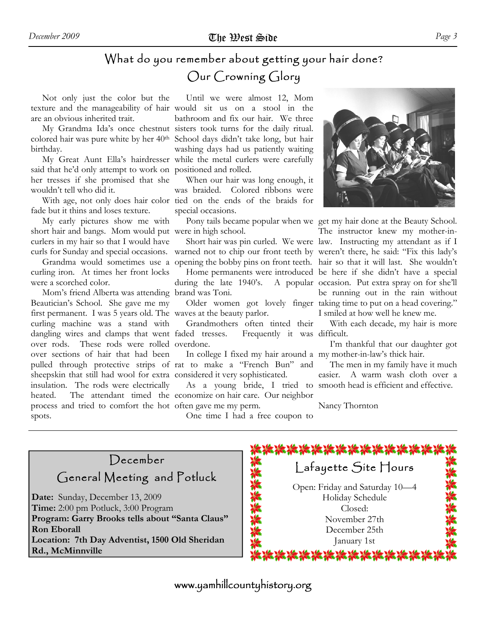## What do you remember about getting your hair done? Our Crowning Glory

 Not only just the color but the are an obvious inherited trait.

colored hair was pure white by her 40<sup>th</sup> birthday.

said that he'd only attempt to work on positioned and rolled. her tresses if she promised that she wouldn't tell who did it.

 With age, not only does hair color tied on the ends of the braids for fade but it thins and loses texture.

 My early pictures show me with short hair and bangs. Mom would put were in high school. curlers in my hair so that I would have curls for Sunday and special occasions.

curling iron. At times her front locks were a scorched color.

 Mom's friend Alberta was attending brand was Toni. Beautician's School. She gave me my first permanent. I was 5 years old. The waves at the beauty parlor. curling machine was a stand with dangling wires and clamps that went faded tresses. over rods. These rods were rolled overdone. over sections of hair that had been pulled through protective strips of rat to make a "French Bun" and sheepskin that still had wool for extra considered it very sophisticated. insulation. The rods were electrically heated. The attendant timed the economize on hair care. Our neighbor process and tried to comfort the hot often gave me my perm. spots.

texture and the manageability of hair would sit us on a stool in the My Grandma Ida's once chestnut sisters took turns for the daily ritual. My Great Aunt Ella's hairdresser while the metal curlers were carefully Until we were almost 12, Mom bathroom and fix our hair. We three School days didn't take long, but hair washing days had us patiently waiting

> When our hair was long enough, it was braided. Colored ribbons were special occasions.

during the late 1940's.

 Grandmothers often tinted their faded tresses. Frequently it was difficult.

In college I fixed my hair around a my mother-in-law's thick hair.

As a young bride, I tried to smooth head is efficient and effective.

One time I had a free coupon to



 Grandma would sometimes use a opening the bobby pins on front teeth. hair so that it will last. She wouldn't Pony tails became popular when we get my hair done at the Beauty School. Short hair was pin curled. We were law. Instructing my attendant as if I warned not to chip our front teeth by weren't there, he said: "Fix this lady's Home permanents were introduced be here if she didn't have a special Older women got lovely finger taking time to put on a head covering." The instructor knew my mother-in-A popular occasion. Put extra spray on for she'll be running out in the rain without I smiled at how well he knew me.

With each decade, my hair is more

I'm thankful that our daughter got

 The men in my family have it much easier. A warm wash cloth over a

Nancy Thornton



www.yamhillcountyhistory.org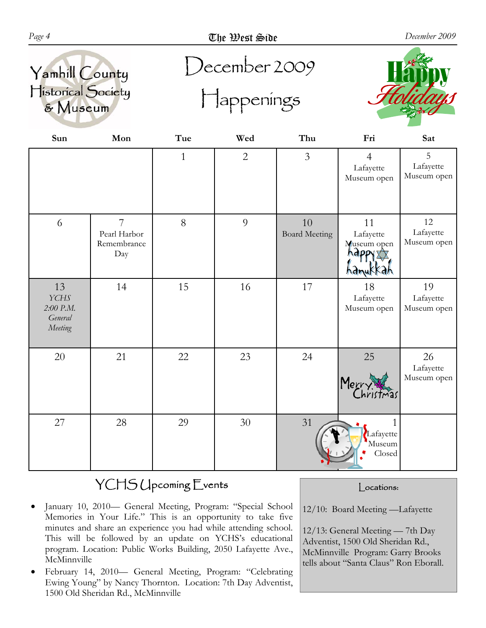





| Sun                                                  | Mon                                                  | Tue          | Wed          | Thu                        | Fri                                        | Sat                            |
|------------------------------------------------------|------------------------------------------------------|--------------|--------------|----------------------------|--------------------------------------------|--------------------------------|
|                                                      |                                                      | $\mathbf{1}$ | $\mathbf{2}$ | $\overline{3}$             | $\overline{4}$<br>Lafayette<br>Museum open | 5<br>Lafayette<br>Museum open  |
| 6                                                    | $\overline{7}$<br>Pearl Harbor<br>Remembrance<br>Day | 8            | 9            | 10<br><b>Board Meeting</b> | 11<br>Lafayette<br>Museum open<br>hàn      | 12<br>Lafayette<br>Museum open |
| 13<br><b>YCHS</b><br>2:00 P.M.<br>General<br>Meeting | 14                                                   | 15           | 16           | 17                         | 18<br>Lafayette<br>Museum open             | 19<br>Lafayette<br>Museum open |
| 20                                                   | 21                                                   | 22           | 23           | 24                         | $25\,$<br>Merry.                           | 26<br>Lafayette<br>Museum open |
| 27                                                   | 28                                                   | 29           | 30           | 31                         | Lafayette<br>Museum<br>Closed              |                                |

# YCHS Upcoming Events

- January 10, 2010— General Meeting, Program: "Special School Memories in Your Life." This is an opportunity to take five minutes and share an experience you had while attending school. This will be followed by an update on YCHS's educational program. Location: Public Works Building, 2050 Lafayette Ave., McMinnville
- February 14, 2010— General Meeting, Program: "Celebrating Ewing Young" by Nancy Thornton. Location: 7th Day Adventist, 1500 Old Sheridan Rd., McMinnville

#### | ocations:

12/10: Board Meeting —Lafayette

12/13: General Meeting — 7th Day Adventist, 1500 Old Sheridan Rd., McMinnville Program: Garry Brooks tells about "Santa Claus" Ron Eborall.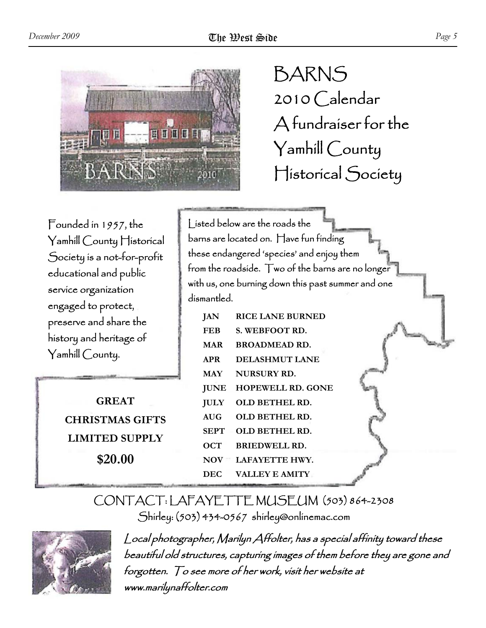

BARNS 2010 Calendar A fundraiser for the Yamhill County Historical Society

Founded in 1957, the Yamhill County Historical Society is a not-for-profit educational and public service organization engaged to protect, preserve and share the history and heritage of Yamhill County.

> **GREAT CHRISTMAS GIFTS LIMITED SUPPLY \$20.00**

Listed below are the roads the barns are located on. Have fun finding these endangered 'species' and enjoy them from the roadside. Two of the barns are no longer with us, one burning down this past summer and one dismantled.

| JAN         | RICE LANE BURNED           |
|-------------|----------------------------|
| <b>FEB</b>  | <b>S. WEBFOOT RD.</b>      |
| <b>MAR</b>  | <b>BROADMEAD RD.</b>       |
| <b>APR</b>  | DELASHMUT LANE             |
| <b>MAY</b>  | NURSURY RD.                |
| <b>JUNE</b> | <b>HOPEWELL RD. GONE</b>   |
| <b>JULY</b> | OLD BETHEL RD.             |
| AIIG        | OLD BETHEL RD.             |
| SEPT        | OLD BETHEL RD.             |
| OCT         | BRIEDWELL RD.              |
| <b>NOV</b>  | <b>TEXT LAFAYETTE HWY.</b> |
| DEC         | <b>VALLEY E AMITY</b>      |

### CONTACT: LAFAYETTE MUSEUM (503) 864-2308 Shirley: (503) 434-0567 shirley@onlinemac.com



Local photographer, Marilyn Affolter, has a special affinity toward these beautiful old structures, capturing images of them before they are gone and forgotten. To see more of her work, visit her website at www.marilynaffolter.com